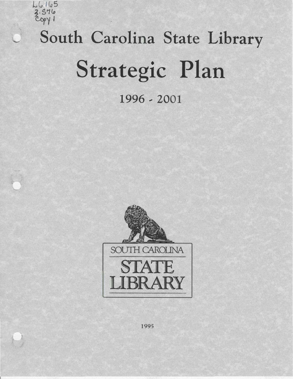# South Carolina State Library **Strategic Plan**

 $L6165$  $\ddot{\phantom{1}}$  $\sim$ 

**1996** ~ **2001** 



1995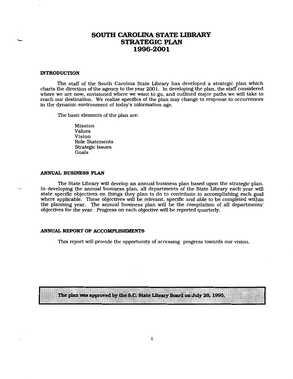#### **SOUTH CAROLINA STATE LIBRARY STRATEGIC PLAN 1996-2001**

#### **INTRODUCTION**

The staff of the South Carolina State Library has developed a strategic plan which charts the direction of the agency to the year 2001. In developing the plan, the staff considered where we are now, envisioned where we want to go. and outlined major paths we will take to reach our destination. We realize specifics of the plan may change in response to occurrences in the dynamic environment of today's information age.

The basic elements of the plan are:

Mission Values Vision Role Statements Strategic Issues Goals

#### **ANNUAL BUSINESS PLAN**

The State Library will develop an annual business plan based upon the strategic plan. In developing the annual business plan, all departments of the State Library each year will state specific objectives on things they plan to do to contribute to accomplishing each goal where applicable. These objectives will be relevant, specific and able to be completed within the planning year. The annual business plan will be the compilation of all departments' objectives for the year. Progress on each objective will be reported quarterly.

#### **ANNUAL REPORT OF ACCOMPLISHMENTS**

This report will provide the opportunity of accessing progress towards our vision.

The plan was approved by the S.C. State Library Board on July 26, 1995.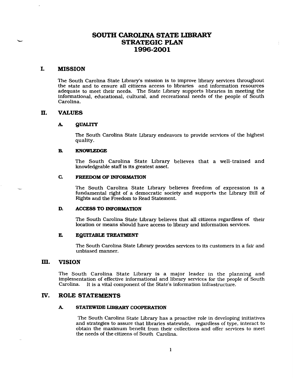#### **SOUTH CAROLINA STATE LIBRARY STRATEGIC PLAN 1996-2001**

#### I. **MISSION**

-

The South Carolina State Library's mission is to improve library services throughout the state and to ensure all citizens access to libraries and information resources adequate to meet their needs. The State Library supports libraries in meeting the informational, educational, cultural, and recreational needs of the people of South Carolina.

#### **ll. VALUES**

#### **A QUALITY**

The South Carolina State Library endeavors to provide services of the highest quality.

#### **B. KNOWLEDGE**

The South Carolina State Library believes that a well-trained and knowledgeable staff is its greatest asset.

#### **C. FREEDOM OF INFORMATION**

The South Carolina State Library believes freedom of expression is a fundamental right of a democratic society and supports the Library Bill of Rights and the Freedom to Read Statement.

#### **D. ACCESS TO INFORMATION**

The South Carolina State Library believes that all citizens regardless of their location or means should have access to library and information services.

#### **E. EQUITABLE TREATMENT**

The South Carolina State Library provides services to its customers in a fair and unbiased manner.

#### **m. VISION**

The South Carolina State Library is a major leader in the planning and implementation of effective informational and library services for the people of South Carolina. It is a vital component of the State's information infrastructure.

#### IV. **ROLE STATEMENTS**

#### **A. STATEWIDE LIBRARY COOPERATION**

The South Carolina State Library has a proactive role in developing initiatives and strategies to assure that libraries statewide, regardless of type, interact to obtain the maximum benefit from their collections and offer services to meet the needs of the citizens of South Carolina.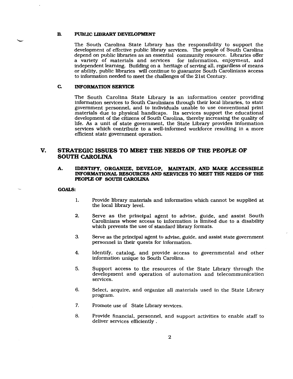#### **R PUBLIC LIBRARY DEVELOPMENT**

The South Carolina State Library has the responsibility to support the development of effective public library services. The people of South Carolina depend on public libraries as an essential community resource. Libraries offer a variety of materials and services for information, enjoyment, and independent learning. Building on a heritage of serving all, regardless of means or ability, public libraries will continue to guarantee South Carolinians access to information needed to meet the challenges of the 21st Century.

#### **C. INFORMATION SERVICE**

The South Carolina State Library is an information center providing information services to South Carolinians through their local libraries, to state government personnel, and to individuals unable to use conventional print materials due to physical handicaps. Its services support the educational development of the citizens of South Carolina, thereby increasing the quality of life. As a unit of state government, the State Library provides information services which contribute to a well-informed workforce resulting in a more efficient state government operation.

#### **V. STRATEGIC ISSUES TO MEET THE NEEDS OF THE PEOPLE OF SOUTH CAROLINA**

#### A. IDENTIFY, ORGANIZE, DEVELOP, MAINTAIN, AND MAKE ACCESSIBLE **INFORMATIONAL RESOURCES AND SERVICES TO MEET THE NEEDS OF THE**  PEOPLE OF SOUTH CAROLINA

- 1. Provide library materials and information which cannot be supplied at the local library level.
- 2. Serve as the principal agent to advise, guide, and assist South Carolinians whose access to information is limited due to a disability which prevents the use of standard library formats.
- 3. Serve as the principal agent to advise, guide, and assist state government personnel in their quests for information.
- 4. Identify, catalog, and provide access to governmental and other information unique to South Carolina.
- 5. Support access to the resources of the State Library through the development and operation of automation and telecommunication services.
- 6. Select, acquire, and organize all materials used in the State Library program.
- 7. Promote use of State Library services.
- 8. Provide financial, personnel, and support activities to enable staff to deliver services efficiently .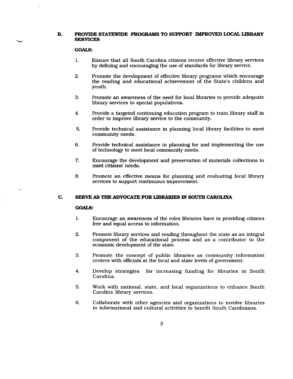#### **B. PROVIDE STATEWIDE PROGRAMS TO SUPPORT IMPROVED LOCAL LIBRARY SERVICES**

#### **GOALS:**

- 1. Ensure that all South Carolina citizens receive effective library services by defining and encouraging the use of standards for library service.
- 2. Promote the development of effective library programs which encourage the reading and educational achievement of the State's children and youth.
- 3. Promote an awareness of the need for local libraries to provide adequate library services to special populations.
- 4. Provide a targeted continuing education program to train library staff in order to improve library service to the community.
- 5. Provide technical assistance in planning local library facilities to meet community needs.
- 6. Provide technical assistance in planning for and implementing the use of technology to meet local community needs.
- 7. Encourage the development and preservation of materials collections to meet citizens' needs.
- 8. Promote an effective means for planning and evaluating local library services to support continuous improvement.

#### **C. SERVE AS THE ADVOCATE FOR LIBRARIES IN SOUTH CAROLINA**

- 1. Encourage an awareness of the roles libraries have in providing citizens free and equal access to information.
- 2. Promote library services and reading throughout the state as an integral component of the educational process and as a contributor to the economic development of the state.
- 3. Promote the concept of public libraries as community information centers with officials at the local and state levels of government.
- 4. Develop strategies for increasing funding for libraries in South Carolina.
- 5. Work with national. state, and local organizations to enhance South Carolina library services.
- 6. Collaborate with other agencies and organizations to involve libraries in informational and cultural activities to benefit South Carolinians.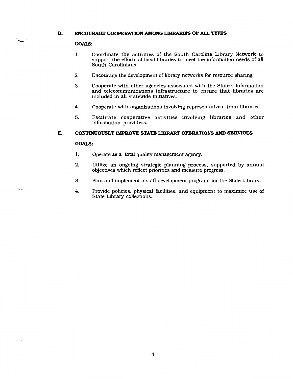#### **D. ENCOURAGE COOPERATION AMONG LIBRARIES OF ALL TYPES**

#### **GOALS:**

- 1. Coordinate the activities of the South Carolina Library Network to support the efforts of local libraries to meet the information needs of all South Carolinians.
- 2. Encourage the development of library networks for resource sharing.
- 3. Cooperate with other agencies associated with the State's information and telecommunications infrastructure to ensure that libraries are included in all statewide initiatives.
- 4. Cooperate with organizations involving representatives from libraries.
- 5. Facilitate cooperative activities involving libraries and other information providers.

#### **E. CONTINUOUSLY IMPROVE STATE LIBRARY OPERATIONS AND SERVICES**

- 1. Operate as a total quality management agency.
- 2. Utilize an ongoing strategic planning process, supported by annual objectives which reflect priorities and measure progress.
- 3. Plan and implement a staff development program for the State Library.
- 4. Provide policies, physical facilities, and equipment to maximize use of State Library collections.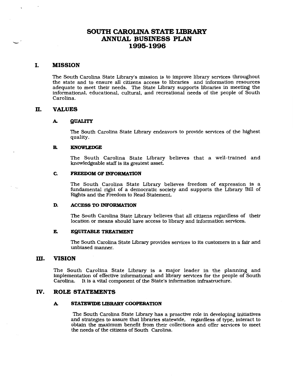#### **SOUTH CAROLINA STATE LIBRARY ANNUAL BUSINESS PLAN 1995-1996**

#### I. **MISSION**

The South Carolina State Library's mission is to improve library services throughout the state and to ensure all citizens access to libraries and information resources adequate to meet their needs. The State Library supports libraries in meeting the informational, educational, cultural, and recreational needs of the people of South Carolina.

#### **n. VALUES**

#### **A. QUALITY**

The South Carolina State Library endeavors to provide services of the highest quality.

#### **B. KNOWLEDGE**

The South Carolina State Library believes that a well-trained and knowledgeable staff is its greatest asset.

#### **C. FREEDOM OF INFORMATION**

The South Carolina State Library believes freedom of expression is a fundamental right of a democratic society and supports the Library Bill of Rights and the Freedom to Read Statement.

#### **D. ACCESS TO INFORMATION**

The South Carolina State Library believes that all citizens regardless of their location or means should have access to library and information services.

#### **E. EQUITABLE TREATMENT**

The South Carolina State Library provides services to its customers in a fair and unbiased manner.

#### **m. VISION**

The South Carolina State Library is a major leader in the planning and implementation of effective informational and library services for the people of South Carolina. It is a vital component of the State's information infrastructure.

#### **IV. ROLE STATEMENTS**

#### **A. STATEWIDE LIBRARY COOPERATION**

The South Carolina State Library has a proactive role in developing initiatives and strategies to assure that libraries statewide, regardless of type, interact to obtain the maximum benefit from their collections and offer services to meet the needs of the citizens of South Carolina.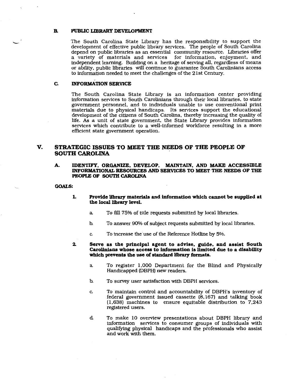## - **B. PUBLIC LIBRARY DEVELOPMENT**

The South Carolina State Library has the responsibility to support the development of effective public library services. The people of South Carolina depend on public libraries as an essential community resource. Libraries offer a variety of materials and services for information, enjoyment, and independent learning. Building on a heritage of serving all, regardless of means or ability, public libraries will continue to guarantee South Carolinians access to information needed to meet the challenges of the 21st Century .

#### c. .. **INFORMATION SERVICE**

The South Carolina State Library is an information center providing information services to South Carolinians through their local libraries, to state government personnel, and to individuals unable to use conventional print materials due to physical handicaps. Its services support the educational development of the citizens of South Carolina, thereby increasing the quality of life. As a unit of state government, the State Library provides information services which contribute to a well-informed workforce resulting in a more efficient state government operation.

#### **V. STRATEGIC ISSUES TO MEET THE NEEDS OF THE PEOPLE OF SOUTH CAROLINA**

#### A. IDENTIFY, ORGANIZE, DEVELOP, MAINTAIN, AND MAKE ACCESSIBLE **INFORMATIONAL RESOURCES AND SERVICES TO MEET THE NEEDS OF THE PEOPLE OF SOUTH CAROLINA**

#### **GOALS:**

- **1. Provide Ubrary materials and information which cannot be supplied at the local Ubrary level.** 
	- a To fill 75% of title requests submitted by local libraries.
	- b. To answer 90% of subject requests submitted by local libraries.
	- c. To increase the·use of the Reference Hotline by 5%.

#### **2. Serve as the principal agent to advise, guide, and assist South**  Carolinians whose access to information is limited due to a disability **which prevents the use.of standard library formats.**

- a To register 1,000 Department for the Blind and Physically Handicapped (DBPH) new readers.
- b. To survey user satisfaction with DBPH services.
- c. To maintain control and accountability of DBPH's inventory of federal government issued cassette (8, 167) and talking book (1,638) machines to ensure equitable distribution to 7,243 registered users.
- d To make 10 overview presentations about DBPH library and information services to consumer groups of individuals with qualifying physical handicaps and the professionals who assist and work with them.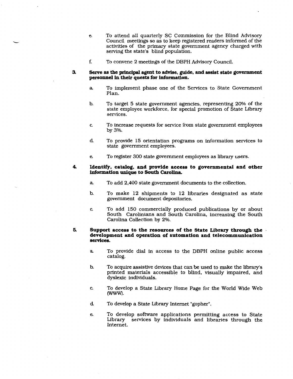- e. To attend all quarterly SC Commission for the Blind Advisory<br>Council meetings so as to keep registered readers informed of the<br>activities of the primary state government agency charged with Council meetings so as to keep registered readers informed of the serving the state's blind population.
	- f. To convene 2 meetings of the DBPH Advisory Council.

#### **3. Serve as the principal agent to advise, guide, and assist state government personnel in their quests for infonnation.**

- a To implement phase one of the Services to State Government Plan.
- b. To target 5 state government agencies, representing 20% of the state employee workforce, for special promotion of State Library services.
- c. To increase requests for service from state government employees by 3%.
- d To provide 15 orientation programs on information services to state government employees.
- e. To register 300 state government employees as library users.

#### **4. Identify, catalog, and provide access to governmental and other information unique to South Carolina.**

- a To add 2,400 state government documents to the collection.
- b. To make 12 shipments to 12 libraries designated as state government document depositories.
- c. To add 150 commercially produced publications by or about South Carolinians and South Carolina, increasing the South Carolina Collection by 2%.

#### **5. Support access to the resources of the State Library through the development and operation of automation and telecommunication services.**

- a To provide dial in access to the DBPH online public access catalog.
- b. To acquire assistive devices that can be used to make the library's printed materials accessible to blind, visually impaired, and dyslexic individuals.
- c. To develop a State Library Home Page for the World Wide Web (WWWJ.
- d. To develop a State Library Internet "gopher".
- e. To develop software applications permitting access to State services by individuals and libraries through the Internet.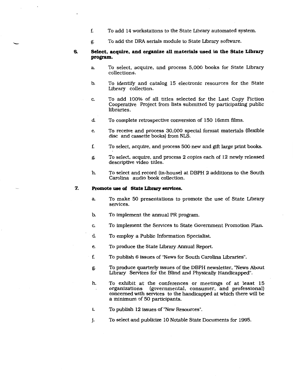- 
- g. To add the ORA serials module to State Library software.

## f. To add 14 workstations to the State Library automated system.<br> **6.** Select, acquire, and organize all materials used in the State Library **program.**

- a To select, acquire, and process 5,000 books for State Library collections.
- b. To identify and catalog 15 electronic resources for the State Library collection.
- c. To add 100% of all titles selected for the Last Copy Fiction Cooperative Project from lists submitted by participating public libraries.
- d. To complete retrospective conversion of 150 16mm films.
- e. To receive and process 30,000 special format materials (flexible disc and cassette books) from NLS.
- f. To select, acquire, and process 500 new and gift large print books.
- g. To select, acquire, and process 2 copies each of 12 newly released descriptive video titles.
- h. To select and record (in-house) at DBPH 2 additions to the South Carolina audio book collection.

#### **7. Promote use of State Ubrary services.**

- a To make 50 presentations to promote the use of State Library services.
- b. To implement the annual PR program.
- c. To implement the Services to State Government Promotion Plan.
- d. To employ a Public Information Specialist.
- e. To produce the State Library Annual Report.
- f. To publish 6 issues of "News for South Carolina Libraries".
- g. To produce quarterly issues of the DBPH newsletter, "News About Library Services for the Blind and Physically Handicapped".
- h. To exhibit at the conferences or meetings of at least 15 organizations (governmental, consumer, and professional) concerned with services to the handicapped at which there will be a minimum of 50 participants.
- i. To publish 12 issues of "New Resources".
- j. To select and publicize lO Notable State Documents for 1995.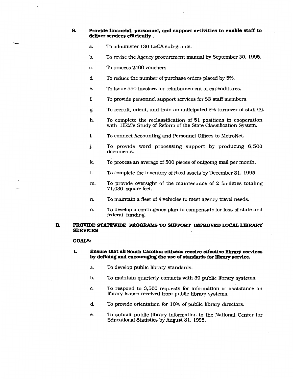8. **Provide financial, personnel, and support activities to enable staff to deliver services efficiently.**<br>a. To administer 130 LSCA sub-grants. **deliver services efficiently** .

- To administer 130 LSCA sub-grants.
- b. To revise the Agency procurement manual by September 30, 1995.
- c. To process 2400 vouchers.
- d. To reduce the number of purchase orders placed by 5%.
- e. To issue 550 invoices for reimbursement of expenditures.
- f. To provide personnel support services for 53 staff members.
- g. To recruit, orient, and train an anticipated 5% turnover of staff (3).
- h. To complete the reclassification of 51 positions in cooperation with HRM's Study of Reform of the State Classification System.
- i. To connect Accounting and Personnel Offices to MetroNet.
- j. To provide word processing support by producing 6,500 documents.
- k. To process an average of 500 pieces of outgoing mail per month.
- 1. To complete the inventory of fixed assets by December 31, 1995.
- m. To provide oversight of the maintenance of 2 facilities totaling 71,030 square feet.
- n. To maintain a fleet of 4 vehicles to meet agency travel needs.
- o. To develop a contingency plan to compensate for loss of state and federal funding.

#### **B. PROVIDE STATEWIDE PROGRAMS TO SUPPORT IMPROVED LOCAL LIBRARY SERVICES**

- **1.** Ensure that all South Carolina citizens receive effective library services **by defining and encouraging the use of standards for Jibrary service.** 
	- a. To develop public library standards.
	- b. To maintain quarterly contacts with 39 public library systems.
	- c. To respond to 3,500 requests for information or assistance on library issues received from public library systems.
	- d. To provide orientation for 10% of public library directors.
	- e. To submit public library information to the National Center for Educational Statistics by August 31, 1995.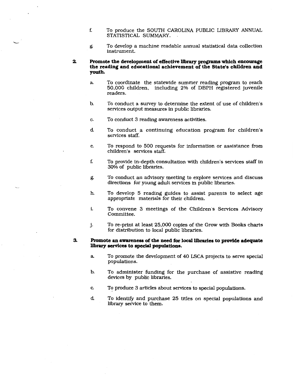- f. To produce the SOUTH CAROLINA PUBLIC LIBRARY ANNUAL STATISTICAL SUMMARY.
- g. To develop a machine readable annual statistical data collection instrument.

#### **2. Promote the development of effective library programs which encourage the reading and educational achievement of the State's children and youth.**

- a To coordinate the statewide summer reading program to reach 50,000 children, including 2% of DBPH registered juvenile readers.
- b. To conduct a survey to determine the extent of use of children's services output measures in public libraries.
- c. To conduct 3 reading awareness activities.
- d. To conduct a continuing education program for children's services staff.
- e. To respond to 500 requests for information or assistance from children's services staff.
- f. To provide in-depth consultation with children's services staff in 30% of public libraries.
- g. To conduct an advisory meeting to explore services and discuss directions for young adult services in public libraries.
- h. To develop 5 reading guides to assist parents to select age appropriate materials for their children.
- i. To convene 3 meetings of the Children's Services Advisory Committee.
- j. To re-print at least 25,000 copies of the Grow with Books charts for distribution to local public libraries.

#### **3. Promote an awareness of the need for local libraries to provide adequate library services to special populations.**

- a To promote the development of 40 LSCA projects to serve special populations.
- b. To administer funding for the purchase of assistive reading devices by public libraries.
- c. To produce 3 articles about services to special populations.
- d. To identify and purchase 25 titles on special populations and library service to them.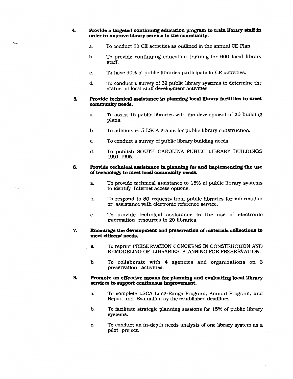**4. Provide a targeted continuing education program to train library staff in order to improve library service to the community.**<br>a. To conduct 30 CE activities as outlined in the annual CE Plan. **order to improve Ubrary service to the community.** 

- To conduct 30 CE activities as outlined in the annual CE Plan.
- b. To provide continuing education training for 600 local library staff.
- c. To have 90% of public libraries participate in CE activities.
- d To conduct a survey of 39 public library systems to determine the status of local staff development activities.

#### **5. Provide technical assistance in planning local Ubrary facilities to meet community needs.**

- a To assist 15 public libraries with the development of 25 building plans.
- b. To administer 5 LSCA grants for public library construction.
- c. To conduct a survey of public library building needs.
- d. To publish SOUTH CAROLINA PUBLIC LIBRARY BUILDINGS 1991-1995.

#### **6. Provide technical assistance in planntng for and implementing the use of technology to meet local community needs.**

- a To provide technical assistance to 15% of public library systems to identify Internet access options.
- b. To respond to 80 requests from public libraries for information or assistance with electronic reference service.
- c. To provide technical assistance in the use of electronic information resources to 20 libraries.

#### **7. Encourage the development and preservation of materials collections to meet citizens' needs.**

- a To reprint PRESERVATION CONCERNS IN CONSTRUCTION AND REMODELING OF LIBRARIES: PLANNING FOR PRESERVATION.
- b. To collaborate with 4 agencies and organizations on 3 preservation activities.

#### **8. Promote an effective means for planning and evaluating local library services to support continuous improvement.**

- a To complete LSCA Long-Range Program, Annual Program, and Report and Evaluation by the established deadlines.
- b. To facilitate strategic planning sessions for 15% of public library systems.
- c. To conduct an in-depth needs analysis of one library system as a pilot project.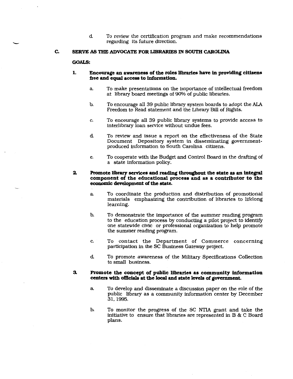d. To review the certification program and make recommendations<br>regarding its future direction.<br>C. SERVE AS THE ADVOCATE FOR LIBRARIES IN SOUTH CAROLINA regarding its future direction.

#### **C. SERVE AS THE ADVOCATE FOR LIBRARIES IN SOUTH CAROLINA**

#### **GOALS:**

#### **1. Encomage an awareness of the roles libraries have in providing citizens free and equal access to information.**

- a To make presentations on the importance of intellectual freedom at library board meetings of 90% of public libraries.
- b. To encourage all 39 public library system boards to adopt the ALA Freedom to Read statement and the Library Bill of Rights.
- c. To encourage all 39 public library systems to provide access to interlibrary loan service without undue fees.
- d. To review and issue a report on the effectiveness of the State Document Depository system in disseminating govemmentproduced information to South Carolina citizens.
- e. To cooperate with the Budget and Control Board in the drafting of a state information policy.

#### **2. Promote library services and reading throughout the state as an integral component of the educational process and as a contributor to the economic development of the state.**

- a To coordinate the production and distribution of promotional materials emphasizing the contribution of libraries to lifelong learning.
- b. To demonstrate the importance of the summer reading program to the education process by conducting a pilot project to identify one statewide civic or professional organization to help promote the summer reading program.
- c. To contact the Department of Commerce concerning participation in the SC Business Gateway project.
- d. To promote awareness of the Military Specifications Collection to small business.

#### **3. Promote the concept of public libraries as community information centers with oftlclals at the local and state levels of government.**

- a To develop and disseminate a discussion paper on the role of the public library as a community information center by December 31, 1995.
- b. To monitor the progress of the SC NTIA grant and take the initiative to ensure that libraries are represented in B & C Board plans.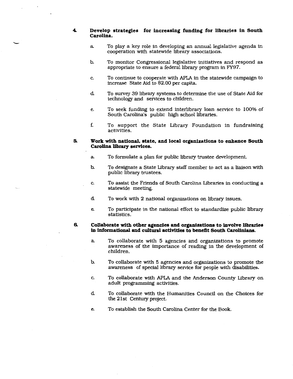### **4. Develop strategies for increasing funding for libraries in South Carolina.**<br> **2.** To play a key role in developing an annual legislative agenda in **Carolina.**

- a To play a key role in developing an annual legislative agenda in cooperation with statewide library associations.
- b. To monitor Congressional legislative initiatives and respond as appropriate to ensure a federal library program in FY97.
- c. To continue to cooperate with APLA in the statewide campaign to increase State Aid to \$2.00 per capita.
- d. To survey 39 library systems to determine the use of State Aid for technology and services to children.
- e. To seek funding to extend interlibrary loan service to 100% of South Carolina's public high school libraries.
- f. To support the State Library Foundation in fundraising activities.

#### **5. Work with national, state, and local organizations to enhance South Carolina library services.**

- a To formulate a plan for public library trustee development.
- b. To designate a State Library staff member to act as a liaison with public library trustees.
- c. To assist the Friends of South Carolina Libraries in conducting a statewide meeting.
- d. To work with 2 national organizations on library issues.
- e. To participate in the national effort to standardize public library statistics.

#### **6. Collaborate with other agencies and organizations to involve libraries in informational and cultural activities to benefit South Carolinians.**

- a To collaborate with 5 agencies and organizations to promote awareness of the importance of reading in the development of children.
- b. To collaborate with 5 agencies and organizations to promote the awareness of special library service for people with disabilities.
- c. To collaborate with APLA and the Anderson County Library on adult programming activities.
- d To collaborate with the Humanities Council on the Choices for the 21st Century project.
- e. To establish the South Carolina Center for the Book.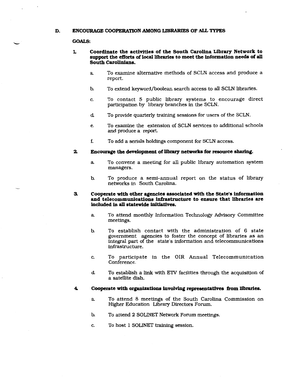## **D.**  ENCOURAGE COOPERATION AMONG LIBRARIES OF ALL TYPES<br>
GOALS:<br>
1. Coordinate the activities of the South Carolina Libra

#### **GOALS:**

#### **L Coordinate the activities of the South Carolina Library Network to support the efforts of local libraries to meet the information needs of all South Carolinians.**

- a To examine alternative methods of SCLN access and produce a report.
- b. To extend keyword/boolean search access to all SCLN libraries.
- c. To contact 5 public library systems to encourage direct participation by library branches in the SCLN.
- d To provide quarterly training sessions for users of the SCLN.
- e. To examine the extension of SCLN services to additional schools and produce a report.
- f. To add a serials holdings component for SCLN access.

#### **2. Encourage the development of library networks for resource sharing.**

- a To convene a meeting for all public library automation system managers.
- b. To produce a semi-annual report on the status of library networks in South Carolina.

#### **3. Cooperate with other agencies associated with the State's information and telecommunications infrastructure to ensure that libraries are included in all statewide initiatives.**

- a To attend monthly Information Technology Advisory Committee meetings.
- b. To establish contact with the administration of 6 state government agencies to foster the concept of libraries as an integral part of the state's information and telecommunications infrastructure.
- c. To participate in the OIR Annual Telecommunication Conference.
- d. To establish a link with E1V facilities through the acquisition of a satellite dish.

#### **4. Cooperate with organizations involving representatives from libraries.**

- a To attend 8 meetings of the South Carolina Commission on Higher Education Library Directors Forum.
- b. To attend 2 SOLINET Network Forum meetings.
- c. To host 1 SOLINET training session.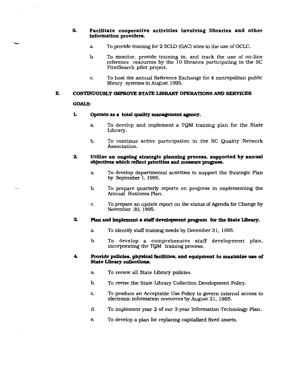## 5. **Facilitate cooperative activities involving libraries and other information providers.**<br>a. To provide training for 2 SCLD (GAC) sites in the use of OCLC. **information providers.**

- To provide training for 2 SCLD (GAC) sites in the use of OCLC.
- b. To monitor, provide training in, and track the use of on-line reference resources by the 10 libraries participating in the SC FirstSearch pilot project.
- c. To host the annual Reference Exchange for 4 metropolitan public library systems in August 1995.

#### **E. CONTINUOUSLY IMPROVE STATE LmRARY OPERATIONS AND SERVICES**

#### **GOALS:**

#### **L Operate as a total quality management agency.**

- a To develop and implement a TQM training plan for the State Library.
- b. To continue active participation in the SC Quality Network Association.

#### **2. Utilize an ongoing strategic planning process, supported by annual objectives which retlect priorities and measme progress.**

- a To develop departmental activities to support the Strategic Plan by September 1, 1995.
- b. To prepare quarterly reports on progress in implementing the Annual Business Plan.
- c. To prepare an update report on the status of Agenda for Change by November 30, 1995.

#### **3. Plan and implement a staff development program for the State Library.**

- a To identify staff training needs by December 31, 1995.
- b. To develop a comprehensive staff development plan, incorporating the TQM training process.

#### **4.** Provide policies, physical facilities, and equipment to maximize use of **State Library collections.**

- a To review all State Library policies.
- b. To revise the State Library Collection Development Policy.
- c. To produce an Acceptable Use Policy to govern internal access to electronic information resources by August 31, 1995.
- d. To implement year 2 of our 3-year Information Technology Plan.
- e. To develop a plan for replacing capitalized fixed assets.